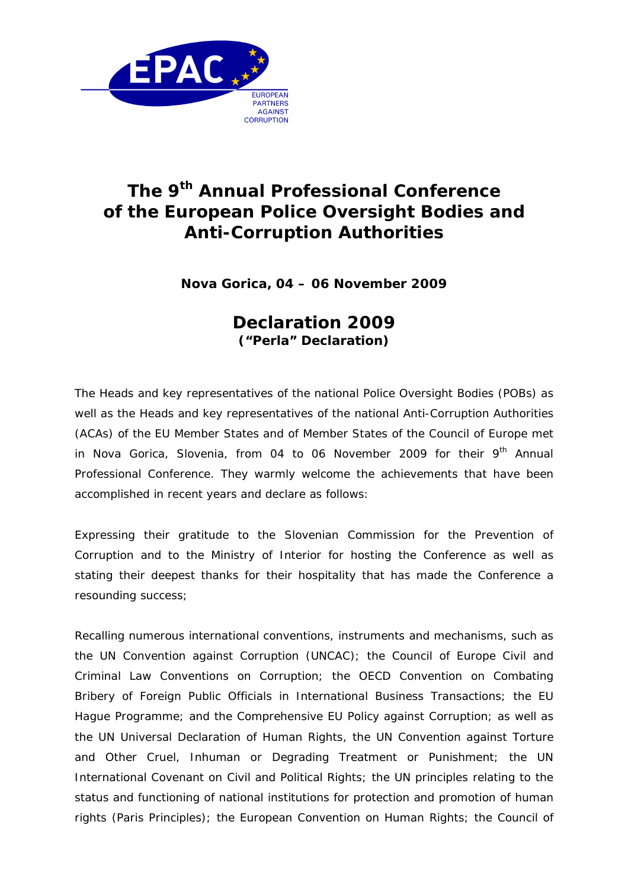

## **The 9th Annual Professional Conference of the European Police Oversight Bodies and Anti-Corruption Authorities**

**Nova Gorica, 04 – 06 November 2009**

## **Declaration 2009 ("Perla" Declaration)**

The Heads and key representatives of the national Police Oversight Bodies (POBs) as well as the Heads and key representatives of the national Anti-Corruption Authorities (ACAs) of the EU Member States and of Member States of the Council of Europe met in Nova Gorica, Slovenia, from 04 to 06 November 2009 for their  $9<sup>th</sup>$  Annual Professional Conference. They warmly welcome the achievements that have been accomplished in recent years and declare as follows:

*Expressing their gratitude* to the Slovenian Commission for the Prevention of Corruption and to the Ministry of Interior for hosting the Conference as well as *stating their deepest thanks* for their hospitality that has made the Conference a resounding success;

*Recalling* numerous international conventions, instruments and mechanisms, such as the UN Convention against Corruption (UNCAC); the Council of Europe Civil and Criminal Law Conventions on Corruption; the OECD Convention on Combating Bribery of Foreign Public Officials in International Business Transactions; the EU Hague Programme; and the Comprehensive EU Policy against Corruption; as well as the UN Universal Declaration of Human Rights, the UN Convention against Torture and Other Cruel, Inhuman or Degrading Treatment or Punishment; the UN International Covenant on Civil and Political Rights; the UN principles relating to the status and functioning of national institutions for protection and promotion of human rights (Paris Principles); the European Convention on Human Rights; the Council of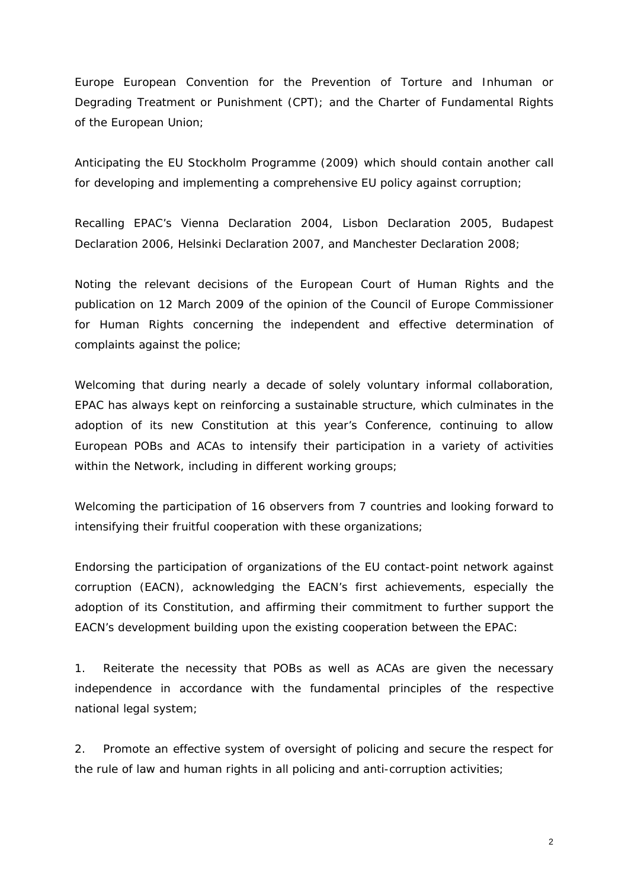Europe European Convention for the Prevention of Torture and Inhuman or Degrading Treatment or Punishment (CPT); and the Charter of Fundamental Rights of the European Union;

*Anticipating* the EU Stockholm Programme (2009) which should contain another call for developing and implementing a comprehensive EU policy against corruption;

*Recalling* EPAC's Vienna Declaration 2004, Lisbon Declaration 2005, Budapest Declaration 2006, Helsinki Declaration 2007, and Manchester Declaration 2008;

*Noting* the relevant decisions of the European Court of Human Rights and the publication on 12 March 2009 of the opinion of the Council of Europe Commissioner for Human Rights concerning the independent and effective determination of complaints against the police;

*Welcoming* that during nearly a decade of solely voluntary informal collaboration, EPAC has always kept on reinforcing a sustainable structure, which culminates in the adoption of its new Constitution at this year's Conference, continuing to allow European POBs and ACAs to intensify their participation in a variety of activities within the Network, including in different working groups;

*Welcoming* the participation of 16 observers from 7 countries and *looking forward to* intensifying their fruitful cooperation with these organizations;

*Endorsing* the participation of organizations of the EU contact-point network against corruption (EACN), acknowledging the EACN's first achievements, especially the adoption of its Constitution, and *affirming* their commitment to further support the EACN's development building upon the existing cooperation between the EPAC:

1. *Reiterate* the necessity that POBs as well as ACAs are given the necessary independence in accordance with the fundamental principles of the respective national legal system;

2. *Promote* an effective system of oversight of policing and *secure* the respect for the rule of law and human rights in all policing and anti-corruption activities;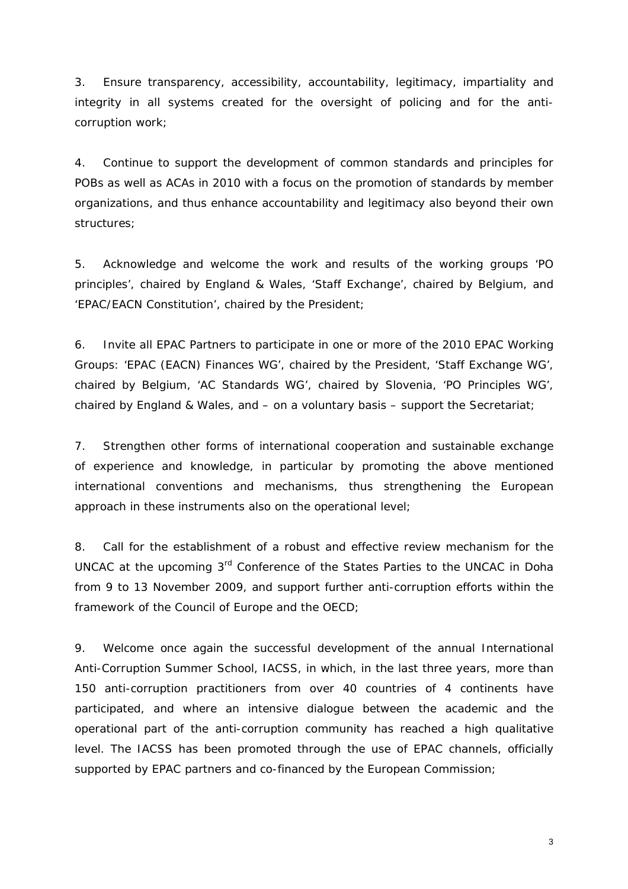3. *Ensure* transparency, accessibility, accountability, legitimacy, impartiality and integrity in all systems created for the oversight of policing and for the anticorruption work;

4. *Continue* to support the development of common standards and principles for POBs as well as ACAs in 2010 with a focus on the promotion of standards by member organizations, and thus *enhance* accountability and legitimacy also beyond their own structures;

5. *Acknowledge and welcome* the work and results of the working groups 'PO principles', chaired by England & Wales, 'Staff Exchange', chaired by Belgium, and 'EPAC/EACN Constitution', chaired by the President;

*6. Invite* all EPAC Partners to participate in one or more of the 2010 EPAC Working Groups: 'EPAC (EACN) Finances WG', chaired by the President, 'Staff Exchange WG', chaired by Belgium, 'AC Standards WG', chaired by Slovenia, 'PO Principles WG', chaired by England & Wales, and – on a voluntary basis – support the Secretariat;

7. *Strengthen* other forms of international cooperation and sustainable exchange of experience and knowledge, in particular by promoting the above mentioned international conventions and mechanisms, thus strengthening the European approach in these instruments also on the operational level;

8. *Call for* the establishment of a robust and effective review mechanism for the UNCAC at the upcoming 3<sup>rd</sup> Conference of the States Parties to the UNCAC in Doha from 9 to 13 November 2009, and *support* further anti-corruption efforts within the framework of the Council of Europe and the OECD;

9. *Welcome* once again the successful development of the annual International Anti-Corruption Summer School, IACSS, in which, in the last three years, more than 150 anti-corruption practitioners from over 40 countries of 4 continents have participated, and where an intensive dialogue between the academic and the operational part of the anti-corruption community has reached a high qualitative level. The IACSS has been promoted through the use of EPAC channels, officially supported by EPAC partners and co-financed by the European Commission;